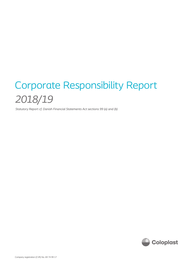# Corporate Responsibility Report *2018/19*

*Statutory Report cf. Danish Financial Statements Act sections 99 (a) and (b)*

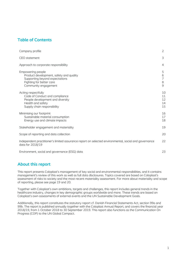# **Table of Contents**

| Company profile                                                                                                                                    | 2                                  |
|----------------------------------------------------------------------------------------------------------------------------------------------------|------------------------------------|
| CEO statement                                                                                                                                      | 3                                  |
| Approach to corporate responsibility                                                                                                               | 4                                  |
| Empowering people<br>Product development, safety and quality<br>Supporting beyond expectations<br>Fighting for better care<br>Community engagement | 5<br>6<br>$\overline{7}$<br>8<br>9 |
| Acting respectfully<br>Code of Conduct and compliance<br>People development and diversity<br>Health and safety<br>Supply chain responsibility      | 10<br>11<br>12<br>14<br>15         |
| Minimising our footprint<br>Sustainable material consumption<br>Energy use and climate impacts                                                     | 16<br>17<br>18                     |
| Stakeholder engagement and materiality                                                                                                             | 19                                 |
| Scope of reporting and data collection                                                                                                             | 20                                 |
| Independent practitioner's limited assurance report on selected environmental, social and governance<br>data for 2018/19                           | 22                                 |
| Environment, social and governance (ESG) data                                                                                                      | 23                                 |

# **About this report**

This report presents Coloplast's management of key social and environmental responsibilities, and it contains management's review of this work as well as full data disclosures. Topics covered are based on Coloplast's assessment of risks to society and the most recent materiality assessment. For more about materiality and scope of reporting, please see page 19 and 20.

Together with Coloplast's own ambitions, targets and challenges, this report includes general trends in the healthcare industry, changes in key demographic groups worldwide and more. These trends are based on Coloplast's own assessments of external events and the UN Sustainable Development Goals.

Additionally, this report constitutes the statutory report cf. Danish Financial Statements Act, section 99a and 99b. The report is published annually together with the Coloplast Annual Report, and covers the financial year 2018/19, from 1 October 2018 to 30 September 2019. This report also functions as the Communication On Progress (COP) to the UN Global Compact.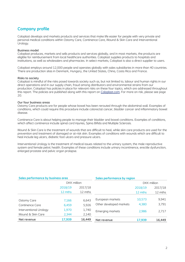# **Company profile**

Coloplast develops and markets products and services that make life easier for people with very private and personal medical conditions within Ostomy Care, Continence Care, Wound & Skin Care and Interventional Urology.

#### **Business model**

Coloplast produces, markets and sells products and services globally, and in most markets, the products are eligible for reimbursement from local healthcare authorities. Coloplast supplies products to hospitals and institutions, as well as wholesalers and pharmacies. In select markets, Coloplast is also a direct supplier to users.

Coloplast employs around 12,000 people and operates globally with sales subsidiaries in more than 40 countries. There are production sites in Denmark, Hungary, the United States, China, Costa Rica and France.

#### **Risks to society**

Coloplast is mindful of the risks posed towards society such as, but not limited to, labour and human rights in our direct operations and in our supply chain, fraud among distributors and environmental strains from our production. Coloplast has policies in place for relevant risks on these four topics, which are addressed throughout this report. The policies are published along with this report on [Coloplast.com.](https://www.coloplast.com/about-coloplast/responsibility/policies/) For more on risk, please see page 20.

#### **Our four business areas**

Ostomy Care products are for people whose bowel has been rerouted through the abdominal wall. Examples of conditions, which could require this procedure include colorectal cancer, bladder cancer and inflammatory bowel disease.

Continence Care is about helping people to manage their bladder and bowel conditions. Examples of conditions, which affect continence include spinal cord injuries, Spina Bifida and Multiple Sclerosis.

Wound & Skin Care is the treatment of wounds that are difficult to heal, while skin care products are used for the prevention and treatment of damaged or at-risk skin. Examples of conditions with wounds which are difficult to heal include leg ulcers, diabetic foot ulcers and pressure ulcers.

Interventional Urology is the treatment of medical issues related to the urinary system, the male reproductive system and female pelvic health. Examples of these conditions include urinary incontinence, erectile dysfunction, enlarged prostate and pelvic organ prolapse.

| Sales performance by business area |         |                    | Sales performance by region |         |                    |
|------------------------------------|---------|--------------------|-----------------------------|---------|--------------------|
|                                    |         | <b>DKK</b> million |                             |         | <b>DKK</b> million |
|                                    | 2018/19 | 2017/18            |                             | 2018/19 | 2017/18            |
|                                    | 12 mths | 12 mths            |                             | 12 mths | 12 mths            |
|                                    |         |                    | European markets            | 10,573  | 9,941              |
| <b>Ostomy Care</b>                 | 7,166   | 6,643              |                             |         |                    |
| Continence Care                    | 6,459   | 5,926              | Other developed markets     | 4,380   | 3,791              |
| Interventional Urology             | 1,970   | 1,740              | <b>Emerging markets</b>     | 2,986   | 2,717              |
| Wound & Skin Care                  | 2,344   | 2,140              |                             |         |                    |
| Net revenue                        | 17,939  | 16,449             | Net revenue                 | 17,939  | 16,449             |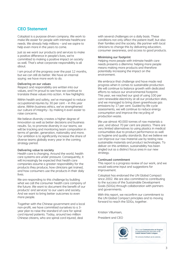## **CEO Statement**

Coloplast is a purpose driven company. We work to make life easier for people with intimate healthcare needs. We already help millions – and we aspire to help even more in the years to come.

Just as we want our products and services to make a positive difference in people's lives, we're committed to making a positive impact on society as well. That's what corporate responsibility is all about.

I am proud of the progress over the past 12 months, but we can still do better. We have an internal saying: we have more work to do.

#### **Delivering on our values**

Respect and responsibility are written into our values, and I'm proud to see how we continue to translate these values into action. A few highlights:

Within health and safety, we've managed to reduce occupational injuries by 30 per cent – in this year alone. Within business ethics, we've strengthened our culture of integrity– by making it even easier to raise concerns.

We believe diversity creates a higher degree of innovation as well as better decisions and business results. So, to promote diversity in our teams, we will be tracking and monitoring team composition in terms of gender, generation, nationality and more. Our ambition is to significantly increase the share of diverse teams globally every year in the coming strategy period.

#### **Delivering value to society**

Health care is changing. Around the world, health care systems are under pressure. Consequently, it will increasingly be expected that health care companies assume a greater responsibility for the products they produce, how clinicians get trained, and how consumers use the products in their daily lives.

We are responding to this challenge by building what we call the consumer health care company of the future. We want to document the benefit of our products' and services' to our users and society. And we want to bring better outcomes to even more people.

Together with the Chinese government and a local non-profit, we have committed ourselves to a 3 year plan to raise the standard of care for spinal cord injured patients. Today, around two million Chinese citizens, who are spinal cord injured, deal

with several challenges on a daily basis. These conditions not only affect the patient itself, but also their families and the society. We partner with local clinicians to change this by delivering education, consumer awareness, and access to good products.

#### **Minimising our footprint**

Helping more people with intimate health care needs presents a dilemma: helping more people means making more products and therefore potentially increasing the impact on the environment.

We embrace that challenge and have made real progress when it comes to sustainable production. We will continue to balance growth with dedicated efforts to reduce our environmental footprint. This year, we reached our goal of using 100 per cent renewable electricity at all our production sites, and we managed to bring down greenhouse gas emissions by 17 per cent. Guided by life cycle assessments, we will continue to reduce energy consumption and improve the recycling of production waste.

We use almost 40.000 tonnes of raw materials a year, and about 70 per cent are plastics. There are very limited alternatives to using plastics in medical consumables due to product performance as well as hygiene and quality standards. But we believe we can improve our raw material use by testing new sustainable materials and product technologies. To deliver on this ambition, sustainability has been singled out as a distinct focus area in our new strategy.

#### **Continued commitment**

This report is a progress review of our work, and we would welcome input and suggestions for improvement.

Coloplast has endorsed the UN Global Compact since 2002. We are also committed to contributing to the success of the Sustainable Development Goals (SDGs) through collaboration with partners and governments.

With this report, we reconfirm our commitment to the UN Global Compact principles and to moving forward to reach the SDGs, together.

Kristian Villumsen,

President and CEO



This is our Communication on Progress in implementing the principles of<br>United Nations Global Compact.

We welcome feedback on its contents.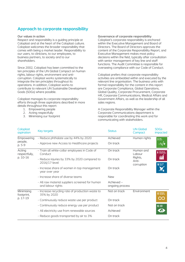# **Approach to corporate responsibility**

#### **Our values in action**

Respect and responsibility is a guiding principle at Coloplast and at the heart of the Coloplast culture. Coloplast welcomes the broader responsibility that comes with being a market leader. Responsibility to our users, to clinicians, to our employees, to business partners, to society and to our shareholders.

Since 2002, Coloplast has been committed to the ten principles of the UN Global Compact on human rights, labour rights, environment and anticorruption. Coloplast works systematically to integrate the ten principles throughout its operations. In addition, Coloplast works to contribute to relevant UN Sustainable Development Goals (SDGs) where possible.

Coloplast manages its corporate responsibility efforts through three aspirations described in more details throughout this report:

- 1. Empowering people
- 2. Acting respectfully
- 3. Minimising our footprint

#### **Governance of corporate responsibility**

Coloplast's corporate responsibility is anchored within the Executive Management and Board of Directors. The Board of Directors approves the content of the Corporate Responsibility Report, and Executive Management makes most policy decisions within the field, typically after consultation with senior management of key line and staff functions. The Audit Committee is responsible for overseeing compliance with our Code of Conduct.

Coloplast prefers that corporate responsibility activities are embedded within and executed by the relevant line organisation. The business units with formal responsibility for the content in this report are Corporate Compliance, Global Operations, Global Quality, Corporate Procurement, Corporate HR, Corporate Communications, Medical Affairs and Government Affairs, as well as the leadership of all sales regions.

A Corporate Responsibility Manager within the Corporate Communications department is responsible for coordinating this work and for communicating with stakeholders.

| Coloplast<br>aspiration  | <b>Key targets</b>                                                   | <b>Status</b>                 | <b>UN Global</b><br>Compact    | <b>SDGs</b><br>impacted |
|--------------------------|----------------------------------------------------------------------|-------------------------------|--------------------------------|-------------------------|
| Empowering               | - Reduce phthalate use by 44% by 2020                                | Achieved                      | Human rights                   | $3$ $^{6000}_{HEAUH}$   |
| people,<br>p. 5-9        | - Approve new Access to Healthcare projects                          | On track                      |                                | $-M$                    |
| Acting<br>respectfully,  | - Train all white-collar employees in Code of<br>Conduct             | On track                      | Human and<br>Labour            | 8 6000 JOBS AND         |
| p. 10-16                 | - Reduce injuries by 33% by 2020 compared to<br>2016/17-level        | On track                      | Rights,<br>Anti-<br>corruption | 16 PEACE AND            |
|                          | - Increase share of women in top management<br>year over year        | On track                      |                                |                         |
|                          | - Increase share of diverse teams                                    | <b>New</b>                    |                                |                         |
|                          | - All raw material suppliers screened for human<br>and labour rights | Achieved -<br>ongoing process |                                |                         |
| Minimising<br>footprint, | - Increase recycling rate of production waste to<br>35% by 2020      | Not on track                  | Environment                    | <b>12 RESPONSIBLE</b>   |
| p. 17-19                 | - Continuously reduce waste use per product                          | On track                      |                                | QΟ                      |
|                          | - Continuously reduce energy use per product                         | Not on track                  |                                | 13 GLIMATE              |
|                          | - All electricity use from renewable sources                         | Achieved                      |                                |                         |
|                          | - Reduce goods transported by air to 3%                              | On track                      |                                |                         |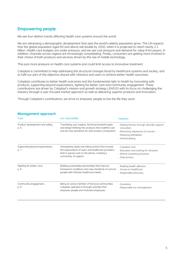# **Empowering people**

We see four distinct trends affecting health care systems around the world.

We are witnessing a demographic development that sees the world's elderly population grow. The UN expects that the global population aged 60 and above will double by 2050, when it is projected to reach nearly 2.1 billion. Health care budgets are under pressure, and we see cost pressure and demand for value from payers. In addition, channels across regions are increasingly consolidating. Finally, consumers are getting more involved in their choice of both products and services driven by the rise of mobile technology.

This puts more pressure on health care systems and could limit access to innovative treatment.

Coloplast is committed to help addressing the structural changes faced by healthcare systems and society, and to fulfil our part of the objective shared with clinicians and users to achieve better health outcomes.

Coloplast contributes to better health outcomes and the fundamental right to health by innovating safe products, supporting beyond expectations, fighting for better care and community engagement. These contributions are driven by Coloplast's mission and growth strategy LEAD20 with its focus on challenging the industry through a user-focused market approach as well as delivering superior products and innovation.

Through Coloplast's contributions, we strive to empower people to live the life they want.

| <b>Topic</b>                            | Our responsibility                                                                                                                                                               | <b>Initiatives</b>                                                                                                                           |
|-----------------------------------------|----------------------------------------------------------------------------------------------------------------------------------------------------------------------------------|----------------------------------------------------------------------------------------------------------------------------------------------|
| Product development and safety,<br>p. 6 | Translating user insights, technical breakthroughs<br>and design thinking into products that redefine care<br>and set new standards for safe product composition.                | - Raising the bar through clinically superior<br>innovation<br>- Removing substances of concern<br>- Reducing phthalates<br>- Animal testing |
| Supporting beyond expectations,<br>p. 7 | Anticipating needs and taking actions that exceed<br>the expectations of users and healthcare providers,<br>both in person and on the phone, creating a<br>community of support. | - Coloplast Care<br>- Education and training for clinicians<br>- Ethical marketing practices<br>- Data privacy                               |
| Fighting for better care,<br>p. 8       | Building sustainable partnerships that improve<br>framework conditions and raise standards of care for<br>people with intimate healthcare needs.                                 | - Building health alliances<br>- Access to Healthcare<br>- Responsible advocacy                                                              |
| Community engagement,<br>p. 9           | Being an active member of the local communities<br>Coloplast operates in through activities that<br>empower people and motivate employees.                                       | - Donations<br>- Responsible tax management                                                                                                  |

#### **Management approach**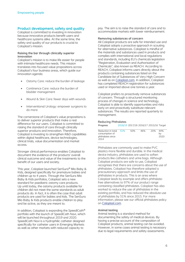## **Product development, safety and quality**

Coloplast is committed to investing in innovation because innovative products benefit users and healthcare systems alike. At the same time, the safety and quality of our products is crucial to Coloplast's mission.

#### **Raising the bar through clinically superior innovation**

Coloplast's mission is to make life easier for people with intimate healthcare needs. This mission translates into focused value propositions across Coloplast's four business areas, which guide our innovation agenda:

- Ostomy Care: reduce the burden of leakage
- Continence Care: reduce the burden of bladder management
- Wound & Skin Care: fewer days with wounds
- Interventional Urology: empower surgeons to do more

The cornerstone of Coloplast's value propositions is to deliver superior products that make a real difference for our users. Coloplast is committed to raising the standard of care through clinically superior products and innovation. Therefore, Coloplast is investing to strengthen R&D capabilities within digital healthcare, device technologies, clinical trials, value documentation and market access.

Stronger clinical performance enables Coloplast to document the evidence of the products' overall clinical outcome and value of the treatments to the benefit of our users and society.

This year, Coloplast launched SenSura® Mio Baby & Kids, designed specifically for premature babies and children up to 4 years. Through the SenSura Mio Baby & Kids portfolios, Coloplast sets a new standard for paediatric ostomy care products. Up until today, the ostomy products available for children did not meet the same standards as adult products do. In fact, it is often the case that adult products are used for babies and kids. The SenSura Mio Baby & Kids products enable children to play and be active, as they are meant to.

In addition, Coloplast is expanding the SpeediCath® portfolio with the launch of SpeediCath Navi, which will be launched throughout 2019 and 2020. SpeediCath Navi is a hydrophilic catheter designed specifically for catheter users in Emerging Markets as well as other markets with reduced capacity to

pay. The aim is to raise the standard of care and to accommodate markets with lower reimbursement.

#### **Removing substances of concern**

All Coloplast products are safe for intended use and Coloplast adopts a proactive approach in scouting for alternative substances. Coloplast is mindful of the materials and substances used in products and complies with international and local regulations and standards, including EU's chemicals legislation "Registration, Evaluation and Authorisation of Chemicals", also known as REACH. According to REACH, Coloplast informs users directly about the products containing substances listed on the Candidate list of Substances of Very High Concern as well as on [Coloplast.com.](https://www.coloplast.com/about-coloplast/responsibility/policies/) In addition, Coloplast has completed REACH registration for substances used or imported above one tonnes a year.

Coloplast prefers to proactively remove substances of concern. Through a structured monitoring process of changes in science and technology, Coloplast is able to identify opportunities and risks early on and proactively substitute relevant substances. The results are reported quarterly to management.

#### **Reducing Phthalates**

| Progress                                                         |     | 2018/19 2017/18 2016/17 2015/16 Target |     |     |                   |
|------------------------------------------------------------------|-----|----------------------------------------|-----|-----|-------------------|
| Reduction in total<br>consumption of<br>phthalates since<br>2014 | 51% | 50%                                    | 46% | 20% | 44%<br>bv<br>2020 |

Phthalates are commonly used to make PVC plastics more flexible and durable. In the medical device industry, phthalates are used to soften products like catheters and urine bags. Although Coloplast products are safe to use, Coloplast recognises that there are concerns about the use of phthalates. Coloplast has therefore adopted a precautionary approach and limits the use of phthalates in products. This is an area where Coloplast leads by example and offers phthalatefree alternatives to 97% of our product range containing classified phthalates. Coloplast has also worked to reduce the use of phthalates in the existing portfolio, and has reduced the absolute use of phthalates by 51% since 2015. For more information, please see our official phthalates policy on [Coloplast.com.](https://www.coloplast.com/about-coloplast/responsibility/policies/)

#### **Animal testing**

Animal testing is a standard method for documenting the safety of medical devices. By having a precise account of the composition of Coloplast products, animal testing can be avoided. However, in some cases animal testing is necessary due to legal requirements and safety assessments.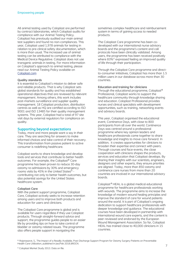All animal testing used by Coloplast are performed by contract laboratories, which Coloplast audits for compliance with our Animal Testing Policy. Coloplast has previously audited our main animal test suppliers and found no non-compliances. This year, Coloplast used 1,978 animals for testing in relation to pre-clinical safety documentation, which is more than usual. The increased use of animal testing can be attributed to compliance with the Medical Device Regulative. Coloplast does not use transgenic animals in testing. For more information on Coloplast's approach to animal testing, please read our Animal Testing Policy available on [Coloplast.com](https://www.coloplast.com/about-coloplast/responsibility/policies/)

#### **Quality standards**

It is essential to Coloplast's mission to deliver safe and reliable products. That is why Coloplast sets global standards for quality and has established operational objectives that are reviewed by relevant management. Among others, this work includes post-markets surveillance and supplier quality management. 18 Coloplast production, distribution centres as well as HQ are certified according to ISO 9001 and ISO 13485 for their quality management systems. This year, Coloplast had a total of 97 site visit days by external regulators for compliance on quality.

#### **Supporting beyond expectations**

Today, more and more people want a say in their care. They are searching for answers to make informed choices and take control of their recovery. This transformation from passive patient to active consumer is redefining healthcare.

Coloplast works to share knowledge and develop tools and services that contribute to better health outcomes. For example, the Coloplast® Care programme has been proven to reduce 30-day ostomy re-admissions by 30% and emergency rooms visits by 45% in the United States<sup>b)</sup> contributing not only to better health outcomes, but also potential savings for the United States healthcare system.

#### **Coloplast Care**

With the patient support programme, Coloplast Care, Coloplast actively seeks to increase retention among users and to improve both products and education for users and clinicians.

The Coloplast Care programme is global and is available for users regardless if they use Coloplast products. Through straight-forward advice and support, the programme guides people to an easier life by providing tips on how to take control of bladder or ostomy-related issues. The programme also offers people support in navigating the

sometimes complex healthcare and reimbursement system in terms of gaining access to needed products.

The Coloplast Care programme has been codeveloped with our international nurse advisory boards and the programme's content and call protocols have been clinically validated. Among users, the programme has been received positively where 83%<sup>c)</sup> expressed feeling an improved quality of life through their participation.

Through the Coloplast Care programme and directto-consumer initiatives, Coloplast has more than 1.5 million users in our database across more than 30 countries.

#### **Education and training for clinicians**

Through the educational programme, Coloplast® Professional, Coloplast works to support the healthcare community through knowledge sharing and education. Coloplast Professional provides nurses and clinical specialists with development opportunities, such as training, networking events and advisory boards.

This year, Coloplast organised the educational event, Continence Days, with close to 800 participants from all over the world. Continence Days was centred around a professional programme where key opinion leaders and healthcare professionals came together to share knowledge and insights to move care forward. In addition, it creates opportunities for clinicians to broaden their expertise and connect with peers. Through courses and face-events, the close cooperation with clinicians shapes the products, services and education that Coloplast develops. By sharing their insights with our scientists, engineers, designers and other experts, they ensure priorities are aligned. Today, more than 850 ostomy and continence care nurses from more than 20 countries are involved in our international advisory boards.

Coloplast*®* HEAL is a global medical educational programme for healthcare professionals working with wounds. The programme aims to increase the knowledge of modern wound healing principles and improve the standard of care for wound patients around the world. It is part of Coloplast's ongoing dedication to support healthcare professionals with deeper knowledge and guidance. The educational courses have been developed in partnership with international wound care experts, and the content is peer-reviewed and endorsed by the European Wound Management Association. So far, Coloplast HEAL has trained close to 40,000 clinicians in 15 countries.

b) Rojanasarot, S., The Impact of a Readily Available, Post-Discharge Support Program for Ostomy Surgery Patients on Preventable Health Care Utilization, published in Jan/Feb 2018 JWOCN.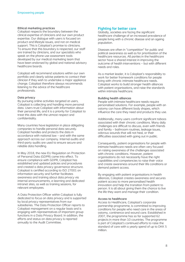#### **Ethical marketing practices**

Coloplast respects the boundary between the clinical expertise of clinicians and our own product expertise. Our dialogue with users is focused on product and lifestyle issues, and not on medical support. This is Coloplast's promise to clinicians. To ensure that this boundary is respected, our staff are trained by clinicians, and our specialists who speak on the phone use assessment tools developed by our medical marketing team that have been endorsed by global and national advisory healthcare boards.

Coloplast will recommend solutions within our own portfolio and clearly advise patients to contact their clinician if they wish to undertake a major appliance change. Coloplast therefore always recommends listening to the advice of the healthcare professionals.

#### **Data privacy**

By pursuing online activities targeted at users, Coloplast is collecting and handling more personal data. Users trust Coloplast with information about their personal life, and it is a priority for Coloplast to treat this data with the utmost respect and confidentiality.

Many countries have legislation in place obligating companies to handle personal data securely. Coloplast handles and protects the data in accordance with national law – and with the same approach across our company. Internal audits and third-party audits are used to ensure secure and reliable data handling.

In May 2018, the new EU Regulation on Protection of Personal Data (GDPR) came into effect. To ensure compliance with GDPR, Coloplast has established and updated policies and procedures and created a data privacy governance structure. Coloplast is certified according to ISO 27001 on information security and further facilitates awareness and training about data privacy via internal announcements, e-learning and dedicated intranet sites, as well as training sessions, for relevant employees.

A Data Protection Officer within Coloplast is fully dedicated to focus on data privacy and is supported by local privacy representatives from our subsidiaries. The Data Protection Officer reports to Coloplast management on a regular basis and is engaging with representatives of important group functions in a Data Privacy Board. In addition, the efforts and status on data privacy is reported annually to the Audit Committee.

#### **Fighting for better care**

Globally, societies are facing the significant healthcare challenge of an increased prevalence of people living with a chronic disease and an ageing population.

Diseases are often in "competition" for public and political awareness as well as for prioritisation of the healthcare resources. All parties in the healthcare sector have a shared interest in improving the outcome of health interventions – but with different needs and roles.

As a market leader, it is Coloplast's responsibility to work for better framework conditions for people living with chronic intimate healthcare needs. Coloplast works to build stronger health alliances with patient organisations, and raise the standards within intimate healthcare.

#### **Building health alliances**

People with intimate healthcare needs require personalised solutions. For example, people with an ostomy can have different body shapes, which influence the care they need and products they use.

Additionally, many users confront significant taboos associated with their chronic conditions. Many daily challenges are difficult to discuss, even with friends and family – bathroom routines, leakage issues, odorous wounds that will not heal, or their difficulties associated with going out in public.

Consequently, patient organisations for people with intimate healthcare needs are often very focused on raising awareness of the challenges associated with chronic conditions. However, patient organisations do not necessarily have the right capabilities and competencies to raise their voice and create awareness around their life conditions or demand patient access.

By engaging with patient organisations in health alliances, Coloplast creates awareness and secures patient access to more personalised health innovation and help the transition from patient to person. It is all about giving them the chance to live the life they want and manage their condition.

#### **Access to healthcare**

Access to Healthcare, Coloplast's corporate partnership programme, is committed to improving conditions for people who need care in the areas of ostomy, continence and wound care. Established in 2007, the programme has so far supported 62 projects in more than 10 countries. The programme is part of Coloplast's continued efforts to raise the standard of care with a yearly spend of up to DKK 5 million.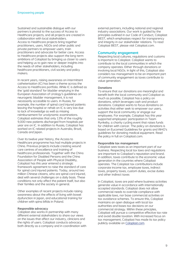Sustained and sustainable dialogue with our partners is pivotal to the success of Access to Healthcare projects, and all projects are created in collaboration with local stakeholders. Access to Healthcare projects bring together practitioners, users, NGOs and other public and private partners to empower users, train practitioners and advocate for better care. Access to Healthcare projects also support the long-term ambitions of Coloplast by bringing us closer to users and helping us to gain new or deeper insights into the needs of other stakeholders, including healthcare practitioners, civil society and policy makers.

In recent years, raising awareness on intermittent catheterisation (IC) has been a theme across the Access to Healthcare portfolio. While IC is defined as the 'gold standard' for bladder emptying in the European Association of Urology's guidelines on neurogenic bladder management, it is not necessarily accessible to users. In Russia, for example, the number of spinal cord injured patients leaving the hospital or rehab on IC is very low due to lack of knowledge as well as missing reimbursement for urodynamic examinations. Coloplast estimates that only 13% of the roughly 9,000 new patients discharged from hospitals per year are on IC. In addition to Russia, Coloplast has worked on IC related projects in Australia, Brazil, Canada and Japan.

Over its twelve year history, the Access to Healthcare programme has had multiple projects in China. Previous projects include creating wound care centres of excellence and training of healthcare professionals. Together with the China Foundation for Disabled Persons and the China Association of People with Physical Disability, Coloplast has this year entered a strategic framework agreement to raise the standard of care for spinal cord injured patients. Today, around two million Chinese citizens, who are spinal cord injured, deal with several challenges on a daily basis. These conditions not only affect the patient itself, but also their families and the society in general.

Other examples of recent projects include raising awareness about the effects of living with bowel dysfunction in Japan, and educational training for children with spina bifida in Poland.

#### **Responsible advocacy**

Coloplast also works in partnership with many different external stakeholders to share our views on the issues that affect our industry, clinicians and the rights of users. Coloplast conducts advocacy both directly as a company and in coordination with external partners, including national and regional industry associations. Our work is guided by the principles outlined in our Code of Conduct, Coloplast BEST, which emphasises respect for transparency and integrity in our stakeholder relations. To read Coloplast BEST, please visit [Coloplast.com.](http://www.coloplast.com/Documents/CSR/Coloplast%20Public%20Affairs%20Code%20of%20Conduct.pdf)

#### **Community engagement**

Respecting local cultures, regulations and customs is important to Coloplast. Coloplast wants to contribute to the local communities in which the company operates. Either through donations or involving local NGOs. In light of this, Coloplast also considers tax management to be an important part of community engagement as taxes contribute to value generation.

#### **Donations**

To ensure that our donations are meaningful and benefit both the local community and Coloplast as much as possible, Coloplast has a policy on donations, which leverages cash and product donations. Coloplast wants to focus donations on activities that either seek to empower our users, support the local community or engage our employees. For example, Coloplast has this year supported employees' participation in Team Rynkeby, a charity cycling event that raises funds for children with cancer. The policy on donations is based on Eucomed Guidelines for grants and WHO's guidelines for donating medical equipment. Read the policy in full on [Coloplast.com.](https://www.coloplast.com/about-coloplast/responsibility/policies/)

#### **Responsible tax management**

Coloplast sees taxes as an important part of our business. Respecting local tax laws and regulations are important to Coloplast's reputation and brand. ln addition, taxes contribute to the economic value generation in the countries where Coloplast operates. The Coloplast tax contributions include corporate income tax, employee taxes, indirect taxes, property taxes, custom duties, excise duties and other indirect taxes

ln Coloplast, taxes are paid where business activities generate value in accordance with internationally accepted standards. Coloplast does not allow commercial needs to override compliance with applicable laws, nor base commercial activities on tax avoidance schemes. To ensure this, Coloplast maintains an open dialogue with local tax authorities and bases tax decisions on our commercial strategy. Within these principles, Coloplast will pursue a competitive effective tax rate and avoid double taxation. With increased focus on tax management, Coloplast has made its tax policy publicly available on [Coloplast.com.](https://www.coloplast.com/about-coloplast/responsibility/policies/)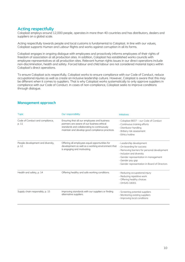# **Acting respectfully**

Coloplast employs around 12,000 people, operates in more than 40 countries and has distributors, dealers and suppliers on a global scale.

Acting respectfully towards people and local customs is fundamental to Coloplast. In line with our values, Coloplast supports Human and Labour Rights and works against corruption in all its forms.

Coloplast engages in ongoing dialogue with employees and proactively informs employees of their rights of freedom of association at all production sites. In addition, Coloplast has established works councils with employee representatives at all production sites. Relevant human rights issues in our direct operations include non-discrimination, health and safety. Forced labour and child labour are not considered material topics within Coloplast's direct operations.

To ensure Coloplast acts respectfully, Coloplast works to ensure compliance with our Code of Conduct, reduce occupational injuries as well as create an inclusive leadership culture. However, Coloplast is aware that this may be different when it comes to suppliers. That is why Coloplast works systematically to only approve suppliers in compliance with our Code of Conduct. In cases of non-compliance, Coloplast seeks to improve conditions through dialogue.

| <b>Topic</b>                               | Our responsibility                                                                                                                                                                           | <b>Initiatives</b>                                                                                                                                                                                                                               |
|--------------------------------------------|----------------------------------------------------------------------------------------------------------------------------------------------------------------------------------------------|--------------------------------------------------------------------------------------------------------------------------------------------------------------------------------------------------------------------------------------------------|
| Code of Conduct and compliance,<br>p. 11   | Ensuring that all our employees and business<br>partners are aware of our business ethical<br>standards and collaborating to continuously<br>maintain and develop good compliance practices. | - Coloplast BEST - our Code of Conduct<br>- Continuous training efforts<br>- Distributor handling<br>- Bribery risk assessment<br>- Ethics hotline                                                                                               |
| People development and diversity,<br>p. 12 | Offering all employees equal opportunities for<br>development as well as a working environment that<br>is engaging and motivating.                                                           | - Leadership development<br>- On-boarding for success<br>- Removing barriers for personal development<br>- Inclusion and diversity<br>- Gender representation in management<br>- Gender pay gap<br>- Gender representation in Board of Directors |
| Health and safety, p. 14                   | Offering healthy and safe working conditions.                                                                                                                                                | - Reducing occupational injury<br>- Reducing repetitive work<br>- Offering healthy choices<br>$-$ OHSAS 18001                                                                                                                                    |
| Supply chain responsibly, p. 15            | Improving standards with our suppliers or finding<br>alternative suppliers.                                                                                                                  | - Screening potential suppliers<br>- Monitoring existing suppliers<br>- Improving local conditions                                                                                                                                               |

## **Management approach**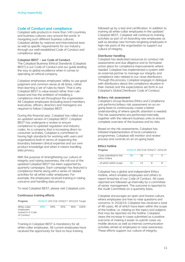## **Code of Conduct and compliance**

Coloplast sells products in more than 140 countries, and business cultures vary around the world. In navigating such different business cultures, Coloplast abides by national and international laws as well as specific requirements for our industry through our well-established Code of Conduct and compliance setup.

#### **Coloplast BEST – our Code of Conduct**

The Coloplast Business Ethical Standards (Coloplast BEST) is our Code of Conduct and our guide leading the way to global excellence when it comes to operating an ethical company.

Coloplast emphasises employees' ability to use good judgment and common sense at all times, rather than learning a set of rules by heart. That is why Coloplast BEST is value-based rather than rulebased and has the ambition of installing a compliance mind-set throughout the organisation. All Coloplast employees (including board members, executives, officers, directors and managers) are required to follow Coloplast BEST.

During this financial year, Coloplast has rolled out an updated version of Coloplast BEST. Coloplast BEST has undergone a review to ensure compliance to updated regulation and industry codes. As a company that is increasing direct-toconsumer activities, Coloplast is committed to having high standards for working with users and organisations both in terms of respecting the boundary between clinical expertise and our own product knowledge and when it means handling data privacy.

With the purpose of strengthening our culture of integrity and raising awareness, the roll-out of the updated Coloplast BEST has been supported by quarterly campaigns. Each campaign has featured a compliance theme along with a series of related activities for all white-collar employees. For example, the employees received training in raising concerns and handling data privacy.

To read Coloplast BEST, please visit [Coloplast.com.](https://www.coloplast.com/about-coloplast/responsibility/policies/)

#### **Continuous training efforts**

| Progress                  |     |     |     | 2018/19 2017/18 2016/17 2015/16 Target |      |
|---------------------------|-----|-----|-----|----------------------------------------|------|
| White-collar<br>employees | 99% | 99% | 95% | 96%                                    | 100% |
| trained in in Code        |     |     |     |                                        |      |
| of Conduct                |     |     |     |                                        |      |

Training in Coloplast BEST is mandatory for all white-collar employees. All current employees have received the opportunity for face-to-face training

followed up by a test and certification. In addition to training all white-collar employees in the updated Coloplast BEST, Coloplast will continue its training activities as part of on-boarding new employees as well as develop new formats targeting employees in high-risk parts of the organisation to support our culture of integrity.

#### **Distributor handling**

Coloplast has dedicated resources to conduct risk assessments and due diligence and to formulate action plans for compliance improvements where needed. Coloplast has implemented a system with an external partner to manage our integrity and compliance risks related to our close distributors. Through this process, Coloplast engages in dialogue with distributors about the compliance situation in their market and the expectations set forth in our Coloplast's Global Distributor Code of Conduct.

#### **Bribery risk assessment**

Coloplast's Group Business Ethics and Compliance unit performs bribery risk assessment on an ongoing basis to continuously create a better understanding of where specific attention is needed. The risk assessments are performed internally together with the relevant business units to ensure complete overview of the business and its risks.

Based on the risk assessments, Coloplast has initiated implementation of local compliance programmes. Coloplast will monitor and review process and controls on an on-going basis.

#### **Ethics hotline**

| <b>Progress</b>                          |    |    | 2018/19 2017/18 2016/17 2015/16 |
|------------------------------------------|----|----|---------------------------------|
| Cases submitted to the<br>ethics hotline | 48 | 18 |                                 |
| of which within scope                    | 46 | 13 |                                 |

Coloplast has a global and independent Ethics Hotline, which enables employees and others to report breaches of our Code of Conduct. All cases reported are followed up internally by a committee of senior management. The outcome is reported to the Audit Committee on a quarterly basis.

Coloplast encourages an open and honest culture, where employees are free to raise questions and concerns. In 2018/19, Coloplast has received a total of 48 cases, 46 of which have been within the scope of the hotline, i.e. relating to the topics and subjects that may be reported via the hotline. Coloplast views the increase in cases submitted as a positive outcome of making it easier to submit cases via mobile devices as well as internal communication activities aimed at employees to raise awareness. These efforts support our culture of integrity.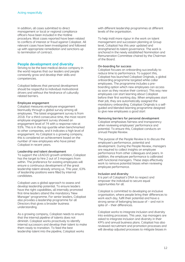In addition, all cases submitted to direct management or local or regional compliance officers have been included in the Hotline procedure. Most cases reported have been related to conflicts of interest or fraud against Coloplast. All relevant cases have been investigated and followed up with appropriate remediation and sanctions up to termination of contract.

#### **People development and diversity**

Striving to be the best medical device company in the world requires that our leaders and people constantly grow and develop their skills and competencies.

Coloplast believes that personal development should be respectful to individual motivational drivers and without the hindrance of culturally related barriers.

#### **Employee engagement**

Coloplast measures employee engagement biannually through a global survey among all employees. The latest engagement survey is from 2018. For a third consecutive time, the most recent employee engagement survey showed an engagement level of 74 with a response rate at 93%. This is in the top quartile when benchmarked to other companies, and it indicates a high level of engagement. As Coloplast is a growing company, this is considered an achievement based on the number of new employees who have joined Coloplast in recent years.

#### **Leadership and talent development**

To support the LEAD20 growth ambition, Coloplast has the target to hire 2 out of 3 managers from within. The preference for existing employees will ensure a continuous development of the great leadership talent already among us. This year, 63% of leadership positions were filled by internal candidates.

Coloplast uses a global approach to assess and develop leadership potential. To ensure leaders have the right capabilities, all internally promoted first-time leaders attend the mandatory 'New Manager'-programme. For senior leaders, Coloplast also provides a leadership programme for all Directors that gives a broader business understanding.

As a growing company, Coloplast needs to ensure that the internal pipeline of talents does not diminish. Coloplast works proactively to identify internal successors and develop their talent to make them ready to transition. To feed the best leadership talent into the pipeline, Coloplast works

with different leadership programmes at different levels of the organisation.

To help instil more rigour in the work on talent management and succession planning at Group level, Coloplast has this year updated and strengthened its talent governance. The work is anchored in the newly established Nomination and Remuneration Committee chaired by the Chairman of the Board.

#### **On-boarding for success**

Coloplast focuses on onboarding successfully to reduce time to performance. To support this, Coloplast has launched Coloplast Originals, a global onboarding programme targeted white collar employees. The programme includes a preboarding option which new employees can access as soon as they receive their contract. This way new employees can start learning about Coloplast before their first working day. When employees start their job, they are automatically assigned the mandatory onboarding. Coloplast Originals is a selfguided and blended-learning programme designed to give new employees a good start

#### **Removing barriers for personal development**

Coloplast emphasises fairness and transparency when reviewing employees' performance and potential. To ensure this, Coloplast conducts an annual People Review.

The purpose of the People Review is to discuss the employee's performance, potential and development. During the People Review, managers are required to collect insights on employee performance from other colleagues and peers. In addition, the employee performance is calibrated with functional managers. These steps effectively work to remove potential biases when reviewing employee performance.

#### **Inclusion and diversity**

It is part of Coloplast's DNA to respect and empower the individual to secure equal opportunities for all.

Coloplast is committed to developing an inclusive organisation, where people bring their differences to work each day, fulfil their potential and have a strong sense of belonging because of – and not in spite of – their differences.

Coloplast works to integrate inclusion and diversity into existing processes. This year, top managers are asked to integrate inclusion and diversity in their KPI's and annual business plans. Coloplast has also reviewed recruitment and promotion processes and will develop adjusted processes to mitigate biases in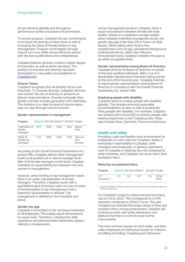all recruitments globally and throughout performance review processes and promotions.

To ensure progress, Coloplast has set commitments to increase the diversity at team level as well as increasing the share of female leaders in top management. Progress must happen through natural turn-over while always hiring the person with the best qualifications and competencies.

Coloplast believes diversity creates a higher degree of innovation as well as better decisions. The position on inclusion and diversity has been formulated in a new policy and published on [Coloplast.com.](https://www.coloplast.com/about-coloplast/responsibility/policies/)

#### **Diverse Teams**

Coloplast recognises that all diversity factors are important. To increase diversity, Coloplast will track and monitor the mix of diversity in all teams on director level and above. Diversity is broader than gender and also includes generation and nationality. The ambition is to raise the level of diverse teams year-on-year through natural turnover.

#### **Gender representation in management**

| Progress                             |     |     | 2018/19 2017/18 2016/17 2015/16 Target |      |                              |
|--------------------------------------|-----|-----|----------------------------------------|------|------------------------------|
| Total share of<br>female<br>managers | 42% | 41% | 42%                                    | 41%  | Above<br>40%                 |
| Share of<br>female top<br>managers   | 21% | 20% | 14%                                    | 1.5% | Year-on-<br>vear<br>increase |

According to the Danish Financial Statements Act, section 99b, Coloplast defines other management levels as all positions at or above manager level. With 41% female managers at this level, Coloplast maintains an equal distribution between men and women in management.

However, when looking at top management alone there is an under-representation of female managers. Therefore, Coloplast works with a quantitative goal of having a year-on-year increase of female leaders in top management until a balanced representation is reached. Top management is defined as Vice President and above.

#### **Gender pay gap**

Coloplast is committed to fair and equal treatment of all employees. This implies equal remuneration for equal work. Therefore, Coloplast lets skills, experience and personal talent determine matters related to compensation.

Across management-levels in Coloplast, there is equal remuneration between female and male leaders. Based on a weighted average median salary between individual management levels, the gender pay gap is less than 2% in favour of male leaders. When taking other factors into consideration such as age, educational background, professional tenure, which also influence remuneration level, Coloplast considers this gap to be within acceptable limits.

#### **Gender representation among Board of Directors**

Coloplast aims for its Board of Directors to consist of the best qualified individuals. With 2 out of 6 shareholder-elected board members being women at the end of the financial year, Coloplast maintain an equal gender representation among Board of Directors in compliance with the Danish Financial Statements Act, section 99b.

#### **Employing people with disability**

Coloplast works to employ people with disability globally. This includes ensuring reasonable accommodations at sites as well as proactively hiring people with disability. For example, Coloplast has worked with a local NGO to employ people with hearing impairment at the Tatabanya site. Other sites include China, Denmark, France and Germany.

#### **Health and safety**

Providing a safe and healthy work environment for employees is a core value for Coloplast. Safety is everybody's responsibility in Coloplast, both managers and employees. In general, operations work in Coloplast is relatively low-risk compared to other industries, and Coloplast has never had a fatal workplace injury.

#### **Reducing occupational injury**

| <b>Progress</b>                  |     |    | 2018/19 2017/18 2016/17 2015/16 Target |     |                           |
|----------------------------------|-----|----|----------------------------------------|-----|---------------------------|
| $\top$<br>frequency <sup>1</sup> | 3.0 | 43 | 45                                     | 4.1 | 3.0 <sub>by</sub><br>2020 |

1. Number of injuries resulting in absence from work of more than eight hours per one million working hours

It is Coloplast's target to reduce the lost-time injury rate to 3.0 by 2020. This corresponds to a 33% reduction compared to 2016/17 level. This year, Coloplast has reached this target ahead of time and considers that a strong achievement. Coloplast will continue to work with safety behaviours and believes that there is room for even further improvement.

The most common injuries for both white- and bluecollar employees are behaviour-based, for instance stumbling and falling. Targeting such behaviour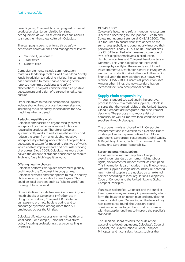based injuries, Coloplast has campaigned across all production sites, larger distribution sites, headquarters as well as selected sales subsidiaries to strengthen the safety culture in Coloplast.

The campaign seeks to enforce three safety behaviours across all sites and management layers:

- You see it, you own it
- Think twice
- Dare to care

Campaign elements include communication materials, leadership tools as well as a Global Safety Week. In addition to reducing injuries, the campaign has contributed to more than a doubling of the reported near-miss accidents and safety observations. Coloplast considers this as a positive development and a sign of a strengthened safety culture.

Other initiatives to reduce occupational injuries include sharing best practices between sites and increasing focus on safety specifications for new machines when ordered.

#### **Reducing repetitive work**

Coloplast emphasises an ergonomically correct workplace layout whenever manual labour is required in production. Therefore, Coloplast systematically works to reduce repetitive work and reduce the strain from unavoidable repetitive workplaces by rotating workstations. Coloplast has developed a system for measuring this type of work, which enables improvements and accurate tracking of progress. Since 2008, Coloplast has more than halved the amount of stations considered to require 'high' and 'very high' repetitive work.

#### **Offering healthy choices**

Coloplast performs workplace assessment globally, and through the Coloplast Life programme, Coloplast provides different options to make healthy choices as easy as possible for employees. This could be local activities such as "Bike to Work" and running clubs after work.

Other initiatives include free medical screenings and health checks at Coloplast's Nyírbátor site in Hungary. In addition, Coloplast UK initiated a campaign to promote healthy eating and to encourage hydration among more than 500 employees across the UK sites.

Coloplast Life also focuses on mental health on a local basis. For example, Coloplast has a stress policy including professional stress-counselling in Denmark.

#### **OHSAS 18001**

Coloplast's health and safety management system is certified according to Occupational Health and Safety management standard, OHSAS 18001. This is a tool used to ensure that sites adhere to the same rules globally and continuously improve their performance. Today, 11 out of 18 Coloplast sites are OHSAS-certified which means a coverage of 96% of Coloplast employees in production, distribution centres and Coloplast headquarters in Denmark. This year, Coloplast has increased coverage by certifying the recently established Postponement & Distribution Centre in Hungary as well as the production site in France. In the coming financial year, the new standard ISO 45001 will replace OHSAS 18001 across all production sites. Among other things, the new standard has an increased focus on occupational health.

## **Supply chain responsibility**

Through standardised auditing in the approval process for new raw material suppliers, Coloplast ensures that the ten principles of the United Nations Global Compact are integrated into procurement decisions. The purpose is to reduce risks of complicity as well as improve local conditions with suppliers through dialogue.

The programme is anchored within Corporate Procurement and is overseen by a Decision Board made up of senior representatives from Global Operations, Corporate Procurement, Global Quality & Regulatory Affairs, Global Environment, Health & Safety and Corporate Responsibility.

#### **Screening potential suppliers**

For all new raw material suppliers, Coloplast explains our standards on human rights, labour rights, environmental impact as well as corruption. This information is also included in the final contract with the supplier. In high-risk countries, all potential raw material suppliers are audited by an external partner according to local regulations, Coloplast's Code of Conduct and the United Nations Global Compact Principles.

If an issue is identified, Coloplast and the supplier then agree on any necessary improvements, which form the basis for an action plan and provides the means for dialogue. Depending on the level of any non-compliance found, the Decision Board considers whether to go ahead and do business with the supplier and help to improve the supplier's standards.

The Decision Board reviews the audit report according to local regulations, Coloplast's Code of Conduct, the United Nations Global Compact Principles, and it considers factors such as the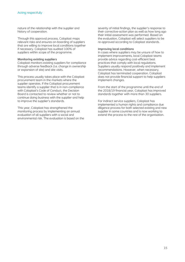nature of the relationship with the supplier and history of cooperation.

Through this approval process, Coloplast maps relevant risks and ensures on-boarding of suppliers that are willing to improve local conditions together if necessary. Coloplast has audited 100% of suppliers within scope of the programme.

#### **Monitoring existing suppliers**

Coloplast monitors existing suppliers for compliance through adverse feedback (i.e. change in ownership or expansion of site) and site visits.

This process usually takes place with the Coloplast procurement team in the markets where the supplier operates. If the Coloplast procurement teams identify a supplier that is in non-compliance with Coloplast's Code of Conduct, the Decision Board is contacted to review whether or not to continue doing business with the supplier and help to improve the supplier's standards.

This year, Coloplast has strengthened the monitoring process by implementing an annual evaluation of all suppliers with a social and environmental risk. The evaluation is based on the severity of initial findings, the supplier's response to their corrective-action plan as well as how long ago their initial assessment was performed. Based on the evaluation, Coloplast will select suppliers to be re-approved according to Coloplast standards.

#### **Improving local conditions**

In cases where suppliers may be unsure of how to implement improvements, local Coloplast teams provide advice regarding cost-efficient best practices that comply with local regulations. Suppliers usually respond positively and implement recommendations. However, when necessary, Coloplast has terminated cooperation. Coloplast does not provide financial support to help suppliers implement changes.

From the start of the programme until the end of the 2018/19 financial year, Coloplast has improved standards together with more than 30 suppliers.

For indirect service suppliers, Coloplast has implemented a human rights and compliance due diligence process for both selected existing and new supplier in some countries and is now working to extend the process to the rest of the organisation.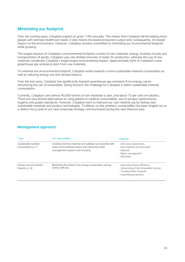# **Minimising our footprint**

Over the coming years, Coloplast expects to grow 7-9% annually. This means that Coloplast will be helping more people with intimate healthcare needs. It also means increased production output and, consequently, increased impact on the environment. However, Coloplast remains committed to minimising our environmental footprint while growing.

The largest impacts of Coloplast's environmental footprint consists of raw materials, energy, business travels and transportation of goods. Coloplast uses very limited amounts of water for production, whereas the use of raw materials constitutes Coloplast's single largest environmental impact. Approximately 60% of Coloplast's total greenhouse gas emissions stem from raw materials.

To minimise the environmental footprint, Coloplast works towards a more sustainable material consumption as well as reducing energy use and climate impacts.

Over the last years, Coloplast has significantly lowered greenhouse gas emissions from energy use by introducing the use of renewables. Going forward, the challenge for Coloplast is within sustainable material consumption.

Currently, Coloplast uses almost 40.000 tonnes of raw materials a year, and about 70 per cent are plastics. There are very limited alternatives to using plastics in medical consumables, due to product performance, hygiene and quality standards. However, Coloplast want to improve our raw material use by testing new sustainable materials and product technologies. To deliver on this ambition, sustainability has been singled out as a distinct focus area in our new corporate strategy communicated during the next financial year.

## **Management approach**

| <b>Topic</b>                               | Our responsibility                                                                                                                                | <b>Initiatives</b>                                                                                                            |
|--------------------------------------------|---------------------------------------------------------------------------------------------------------------------------------------------------|-------------------------------------------------------------------------------------------------------------------------------|
| Sustainable material<br>consumption, p. 17 | Avoiding harmful materials and utilising raw materials with<br>lower environmental impact and improving waste<br>management systems and recycling | - Life-cycle assessments<br>- Raw material use and waste<br>- Disposal<br>- Water management<br>$-$ ISO14001                  |
| Energy use and climate<br>impacts, p. 18   | Minimising the impact from energy consumption and go<br>further with less                                                                         | - Improving energy efficiency<br>- Using energy from renewable sources<br>- Transportation of goods<br>- Expanding production |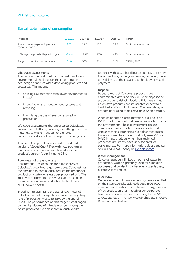## **Sustainable material consumption**

| Progress                                               | 2018/19 | 2017/18 | 2016/17 | 2015/16 | Target               |
|--------------------------------------------------------|---------|---------|---------|---------|----------------------|
| Production waste per unit produced<br>(grams per unit) | 12.2    | 12.5    | 13.0    | 12.3    | Continuous reduction |
| Change compared with previous year                     | $-2.4%$ | $-3.8%$ | 5.7%    | 4.2%    | Continuous reduction |
| Recycling rate of production waste                     | 32%     | 33%     | 31%     | 31%     | 35% by 2020          |

#### **Life-cycle assessments**

The primary method used by Coloplast to address environmental challenges is the incorporation of eco-design principles when developing products and processes. This means:

- Utilising raw materials with lower environmental impact
- Improving waste management systems and recycling
- Minimising the use of energy required in production

Life cycle assessments therefore guide Coloplast's environmental efforts, covering everything from raw materials to waste management, energy consumption, disposal and transportation of goods.

This year, Coloplast has launched an updated version of SpeediCath® Flex with new packaging that contains no aluminium. This reduces the product's carbon footprint up to 16%.

#### **Raw material use and waste**

Raw material use accounts for almost 60% of Coloplast's greenhouse gas emissions. Coloplast has the ambition to continuously reduce the amount of production waste generated per produced unit. The improved performance this year can be explained by implementing new production technologies within Ostomy Care.

In addition to optimising the use of raw material, Coloplast has set a target to increase the recycling rate of production waste to 35% by the end of 2020. The performance on this target is challenged by the high degree of mixed polymers among the waste produced. Coloplast continuously works

together with waste handling companies to identify the optimal way of recycling waste, however, there are still limits to the recycling technology of mixed polymers.

#### **Disposal**

Because most of Coloplast's products are contaminated after use, they must be disposed of properly due to risk of infection. This means that Coloplast's products are incinerated or sent to a landfill after disposal. However, Coloplast designs product packaging to be recyclable when possible.

When chlorinated plastic materials, e.g. PVC and PVdC, are incinerated their emissions are harmful to the environment. These plastic materials are commonly used in medical devices due to their unique technical properties. Coloplast recognises this environmental concern and only uses PVC or PVdC in new products when their technical properties are strictly necessary for product performance. For more information, please see our official PVC/PVdC policy on [Coloplast.com.](https://www.coloplast.com/about-coloplast/responsibility/policies/)

#### **Water management**

Coloplast uses very limited amounts of water for production. Water is primarily used for sanitation purposes and gardening. Whenever water is used, our focus is to reduce.

#### **ISO14001**

Our environmental management system is certified on the internationally acknowledged ISO14001 environmental certification scheme. Today, nine out of ten production sites, including our corporate headquarters, are certified according to the ISO 14001 standard. The newly established site in Costa Rica is not certified yet.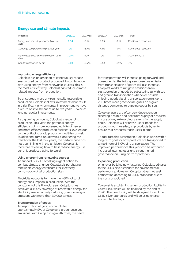## **Energy use and climate impacts**

| Progress                                          | 2018/19 | 2017/18 | 2016/17 | 2015/16 | Target               |
|---------------------------------------------------|---------|---------|---------|---------|----------------------|
| Energy use per unit produced (kWh per<br>unit)    | 0.14    | 0.14    | 0.15    | 0.14    | Continuous reduction |
| Change compared with previous year                | 0%      | $-6.7%$ | 7.1%    | 0%      | Continuous reduction |
| Renewable electricity consumption at all<br>sites | 100%    | 50%     | 0%      | 0%      | 100% by 2019         |
| Goods transported by air                          | 5.1%    | 10.7%   | 5.4%    | 3.9%    | 3%                   |

#### **Improving energy efficiency**

Coloplast has an ambition to continuously reduce energy used per product produced. In combination with using energy from renewable sources, this is the most efficient way Coloplast can reduce climate related impacts from production.

To encourage more environmentally responsible production, Coloplast allows investments that result in a significant environmental improvement, to have a return on investment of up to five years – twice as long as regular investments.

As a growing company, Coloplast is expanding production. This year, the potential energy efficiency gains from increased activity at newer and more efficient production facilities is levelled out by the outfacing of old production facilities as well as additional ramp-up activities. Considering the trend over the last four years, the performance has not been in line with the ambition. Coloplast is therefore reviewing how to best reduce energy use per unit produced going forward.

#### **Using energy from renewable sources**

To support SDG 13 of taking urgent action to combat climate change, Coloplast is purchasing renewable energy certificates for electricity consumption at all production sites.

Electricity accounts for more than 60% of total energy consumption in production. With the conclusion of this financial year, Coloplast has achieved a 100% coverage of renewable energy for electricity use, effectively reducing greenhouse gas emissions with more than 30,000 tonnes.

#### **Transportation of goods**

Transportation of goods accounts for approximately 9% of Coloplast's greenhouse gas emissions. With Coloplast's growth rates, the need for transportation will increase going forward and, consequently, the total greenhouse gas emission from transportation of goods will also increase. Coloplast works to mitigate emissions from transportation of goods by substituting air with sea and ground transportation whenever possible. Shipping goods via air transportation emits up to 200 times more greenhouse gases on a given distance compared to shipping goods by sea.

Coloplast users are often very dependent on receiving a stable and adequate supply of products. In case of any extraordinary events in the supply chain, Coloplast will prioritise users' needs for products and, if needed, ship products by air to ensure that products reach users in time.

To facilitate this substitution, Coloplast works with a long-term goal for how products are transported to a maximum of 3.0% air transportation. The improved performance this year can be attributed increased internal focus and strengthened governance on using air transportation.

#### **Expanding production**

Whenever building new factories, Coloplast adheres to the LEED silver standard for environmental performance. However, Coloplast does not seek certification according to LEED standards due to the costs associated.

Coloplast is establishing a new production facility in Costa Rica, which will be finalised by the end of 2020. The new facility will be designed to fulfil the LEED silver standards and will be using energy efficient technology.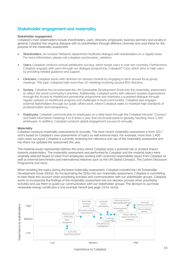# **Stakeholder engagement and materiality**

#### **Stakeholder engagement**

Coloplast's main stakeholders include shareholders, users, clinicians, employees, business partners and society in general. Coloplast has ongoing dialogue with its stakeholders through different channels and used these for the purpose of the materiality assessment:

- **Shareholders.** An Investor Relations department facilitates dialogue with shareholders on a regular basis. For more information, please visit coloplast.com/investor\_relations.
- **Users.** Coloplast conducts annual satisfaction surveys, which target users in over ten countries. Furthermore, Coloplast engages with users through our dialogue programme, Coloplast® Care, which aims to help users by providing needed guidance and support.
- **Clinicians.** Coloplast works with clinicians on advisory boards by engaging in semi-annual focus group meetings. This year, Coloplast held more than 20 meetings involving around 850 clinicians.
- **Society.** Coloplast has incorporated the UN Sustainable Development Goals into the materiality assessment to reflect the world community's priorities. Additionally, Coloplast works with relevant societal organisations through the Access to Healthcare partnership programme and maintains a sustained dialogue through regular updates on healthcare progress and challenges in local communities. Coloplast also engages external stakeholders through our public affairs work, where Coloplast seeks to maintain high standards of professionalism and transparency.
- **Employees.** Coloplast communicates to employees on a daily basis through the Coloplast intranet "Connect" and holds information meetings 4 to 6 times a year that are broadcasted to globally reaching more 1,500 employees. In addition, Coloplast conducts global engagement surveys bi-annually.

#### **Materiality**

Coloplast conducts materiality assessments bi-annually. The most recent materiality assessment is from 2017 and is based on Coloplast's own assessments of topics as well external input. For example, more than 1,400 users were surveyed. Coloplast is currently reviewing the relevance and use of the materiality assessment and has there not updated the assessment this year.

The material issues represented address the areas where Coloplast pose a potential risk or positive impact towards stakeholders. The materiality assessment was performed by Coloplast and the material topics were originally selected based on input from employees working with corporate responsibility issues from Coloplast as well as external benchmarks and international initiatives such as the UN Global Compact, The Carbon Disclosure Programme and more.

When revisiting the topics during the latest materiality assessment, Coloplast included the UN Sustainable Development Goals (SDGs). By incorporating the SDGs into our materiality assessment, Coloplast is committing to take these into account when prioritising activities and communication with our stakeholder groups. Coloplast works to incorporate the findings of the materiality assessment into our decision process when prioritising activities and use them to guide our communication with our stakeholder groups. The decision to purchase renewable energy certificates is one example hereof (see page 19 for more).

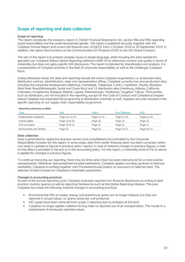# **Scope of reporting and data collection**

#### **Scope of reporting**

This report constitutes the statutory report cf. Danish Financial Statements Act, section 99a and 99b regarding social responsibility and the underrepresented gender. The report is published annually together with the Coloplast Annual Report and covers the financial year 2018/19, from 1 October 2018 to 30 September 2019. In addition, this report also functions as the Communication On Progress (COP) to the UN Global Compact.

The aim of the report is to present complex issues in simple language, while including the data needed for specialist use. Coloplast follows Global Reporting Initiative's (GRI) G4 to determine content and quality in terms of materiality but does not apply specific GRI-disclosures. This report is intended for shareholders and analysts. It is a presentation of Coloplast activities in the field of corporate responsibility as well as the challenges Coloplast faces.

Unless otherwise noted, the data and reporting include the entire Coloplast organisation, i.e. production sites, distribution centres, administration, sales and representative offices. Coloplast currently has nine production sites including the corporate headquarters (Mørdrup, Humlebæk, Tatabanya 1 and 2, Nyírbátor, Zhuhai, Mankato, West River Road/Minneapolis, Sarlat and Costa Rica) and 12 distribution sites (Hamburg, Atlanta, California, Champlan, Kungsbacka, Bologna, Madrid, Lognes, Peterborough, Tatabanya, Vaughan, Tokyo). Third parties, such as distributors, are not included in the reporting, except for the Code of Conduct and Compliance chapter where Coloplast has expanded the programme to distribution channels as well. Suppliers are only included in the specific reporting on our supply chain responsibility programme.

#### **Reporting references to §99a**

| Topic                   | Risk           | Policy     | Due Dilligence | <b>KPIS</b> |
|-------------------------|----------------|------------|----------------|-------------|
| Employment conditions   | Page 10, 13-15 | Page 13-15 | Page 11-14     | Page 11-14  |
| Human rights            | Page 10 & 16   | Page 10    | Page 13        | Page 13     |
| Anti-corruption         | Page 10 & 11   | Page 11    | Page 11        | Page 11     |
| Environment and climate | Page 15        | Page 15    | Page 16-17     | Page 16-17  |

#### **Data collection**

Data is generated by respective business owners and consolidated and controlled by the Corporate Responsibility function for this report. In some cases, data from earlier financial years has been corrected, which can result in updates to figures in previous years' reports. In case of material changes to previous figures, a note to that effect is provided in the text or in the accounting policy. For this report, a materiality level at 5% or above is applied for changes in previous figures.

To continue improving our reporting, there may be times when data has been restructured for a more precise representation. Whenever data presented includes estimations, Coloplast applies rounding up/down to improve readability. Coloplast is working together with PricewaterhouseCoopers on assurance of selected data. The selection of data is based on Coloplast's materiality assessment.

#### **Changes in accounting practices**

As part of the annual reporting cycle, Coloplast evaluates reported non-financial disclosures according to best practice, investor queries as well as reporting frameworks such as the Global Reporting Initiative. This year, Coloplast has made the following material changes in accounting practices:

- Environmental KPIs on waste, energy and greenhouse gases are no longer indexed, but they are reported in actual values, i.e. grams waste per unit produced.
- HFC gases have been removed from scope 3 reporting due no emission of this kind.
- Coloplast no longer applies radiative forcing index to reported use of air transportation. This results in a restatement of previously reported values.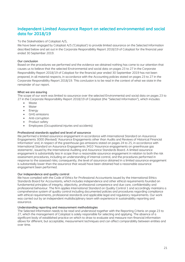# **Independent Limited Assurance Report on selected environmental and social data for 2018/19**

#### To the Stakeholders of Coloplast A/S,

We have been engaged by Coloplast A/S ('Coloplast') to provide limited assurance on the Selected Information described below and set out in the Corporate Responsibility Report 2018/19 of Coloplast for the financial year ended 30 September 2019.

#### **Our conclusion**

Based on the procedures we performed and the evidence we obtained nothing has come to our attention that causes us to believe that the selected Environmental and social data on pages 23 to 27 in the Corporate Responsibility Report 2018/19 of Coloplast for the financial year ended 30 September 2019 has not been prepared, in all material respects, in accordance with the Accounting policies stated on pages 23 to 27 in the Corporate Responsibility Report 2018/19. This conclusion is to be read in the context of what we state in the remainder of our report.

#### **What we are assuring**

The scope of our work was limited to assurance over the selected Environmental and social data on pages 23 to 27 in the Corporate Responsibility Report 2018/19 of Coloplast (the "Selected Information"), which includes:

- Waste
- Water
- Energy
- **•** GHG emissions
- Anti-corruption
- Product safety
- Employees (Occupational injuries and accidents)

#### **Professional standards applied and level of assurance**

We performed a limited assurance engagement in accordance with International Standard on Assurance Engagements 3000 (Revised) 'Assurance Engagements other than Audits and Reviews of Historical Financial Information' and, in respect of the greenhouse gas emissions stated on pages 24 to 25, in accordance with International Standard on Assurance Engagements 3410 'Assurance engagements on greenhouse gas statements', issued by the International Auditing and Assurance Standards Board. A limited assurance engagement is substantially less in scope than a reasonable assurance engagement in relation to both the risk assessment procedures, including an understanding of internal control, and the procedures performed in response to the assessed risks; consequently, the level of assurance obtained in a limited assurance engagement is substantially lower than the assurance that would have been obtained had a reasonable assurance engagement been performed.

#### **Our independence and quality control**

We have complied with the Code of Ethics for Professional Accountants issued by the International Ethics Standards Board for Accountants, which includes independence and other ethical requirements founded on fundamental principles of integrity, objectivity, professional competence and due care, confidentiality and professional behaviour. The firm applies International Standard on Quality Control 1 and accordingly maintains a comprehensive system of quality control including documented policies and procedures regarding compliance with ethical requirements, professional standards and applicable legal and regulatory requirements. Our work was carried out by an independent multidisciplinary team with experience in sustainability reporting and assurance.

#### **Understanding reporting and measurement methodologies**

The Selected Information needs to be read and understood together with the Reporting Criteria on page 23 to 27, which the management of Coloplast is solely responsible for selecting and applying. The absence of a significant body of established practice on which to draw to evaluate and measure non-financial information allows for different, but acceptable, measurement techniques and can affect comparability between entities and over time.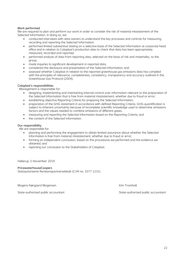#### **Work performed**

We are required to plan and perform our work in order to consider the risk of material misstatement of the Selected Information. In doing so, we:

- conducted interviews with data owners to understand the key processes and controls for measuring, recording and reporting the Selected Information.
- performed limited substantive testing on a selective basis of the Selected Information at corporate head office and in relation to Coloplast's production sites to check that data has been appropriately measured, recorded and reported.
- performed analysis of data from reporting sites, selected on the basis of risk and materiality, to the group.
- made inquiries to significant development in reported data.
- considered the disclosure and presentation of the Selected Information; and
- assessed whether Coloplast in relation to the reported greenhouse gas emissions data has complied with the principles of relevance, completeness, consistency, transparency and accuracy outlined in the Greenhouse Gas Protocol (2004).

#### **Coloplast's responsibilities**

Management is responsible for:

- designing, implementing and maintaining internal control over information relevant to the preparation of the Selected Information that is free from material misstatement, whether due to fraud or error;
- establishing objective Reporting Criteria for preparing the Selected Information;
- preparation of the GHG statement in accordance with defined Reporting Criteria. GHG quantification is subject to inherent uncertainty because of incomplete scientific knowledge used to determine emissions factors and the values needed to combine emissions of different gases.
- measuring and reporting the Selected Information based on the Reporting Criteria; and
- the content of the Selected Information.

#### **Our responsibility**

We are responsible for:

- planning and performing the engagement to obtain limited assurance about whether the Selected Information is free from material misstatement, whether due to fraud or error;
- forming an independent conclusion, based on the procedures we performed and the evidence we obtained; and
- reporting our conclusion to the Stakeholders of Coloplast.

Hellerup, 5 November 2019

#### **PricewaterhouseCoopers**

Statsautoriseret Revisionspartnerselskab (CVR no. 3377 1231)

Mogens Nørgaard Mogensen Kim Tromholt

State-authorized public accountant State-authorized public accountant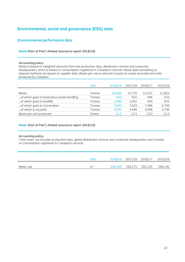# **Environmental, social and governance (ESG) data**

## **Environmental performance data**

#### **Waste (Part of PwC's limited assurance report 2018/19)**

#### *Accounting policy*

Waste is based on weighted amounts from the production sites, distribution centres and corporate headquarters, and it is based on consumption registered in Coloplast's records. Waste splits pertaining to disposal methods are based on supplier data. Waste per unit produced is based on waste recorded and units produced by Coloplast.

|                                           | Unit   | 2018/19 | 2017/18 | 2016/17 | 2015/16 |
|-------------------------------------------|--------|---------|---------|---------|---------|
|                                           |        |         |         |         |         |
| Waste                                     | Tonnes | 14.206  | 13.770  | 13,015  | 11,803  |
| of which goes to hazardous waste handling | Tonnes | 632     | 601     | 496     | 533     |
| of which goes to landfills                | Tonnes | 1,089   | 1,042   | 934     | 816     |
| of which goes to incineration             | Tonnes | 7.943   | 7.629   | 7.488   | 6,749   |
| of which is recycled                      | Tonnes | 4.543   | 4,498   | 4.098   | 3,706   |
| Waste per unit produced                   | Grams  | 12.2    | 12.5    | 13.0    | 12.3    |
|                                           |        |         |         |         |         |

#### **Water (Part of PwC's limited assurance report 2018/19)**

#### *Accounting policy*

Total water use includes production sites, global distribution centres and corporate headquarters and is based on consumption registered in Coloplast's records.

|           | Unit |         |         | 2018/19 2017/18 2016/17 2015/16 |         |
|-----------|------|---------|---------|---------------------------------|---------|
| Water use | m.   | 234.299 | 258.171 | 292.235                         | 298,130 |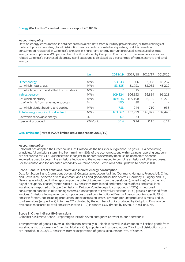#### **Energy (Part of PwC's limited assurance report 2018/19)**

#### *Accounting policy*

Data on energy consumption is obtained from invoiced data from our utility providers and/or from readings of meters at production sites, global distribution centres and corporate headquarters, and it is based on consumption registered in Coloplast's EHS site in SharePoint. Energy per unit produced is measured as total energy consumption in kWh per number of unit produced by Coloplast. Electricity from renewable sources are related Coloplast's purchased electricity certificates and is disclosed as a percentage of total electricity and total energy.

|                                                | Unit       | 2018/19 | 2017/18 | 2016/17 | 2015/16 |
|------------------------------------------------|------------|---------|---------|---------|---------|
|                                                |            |         |         |         |         |
| Direct energy                                  | <b>MWh</b> | 53,543  | 51,806  | 52,058  | 46,237  |
| of which natural gas                           | <b>MWh</b> | 53,535  | 51,791  | 52,032  | 46,219  |
| of which coal or fuel distilled from crude oil | <b>MWh</b> |         | 15      | 25      | 18      |
| Indirect energy                                | <b>MWh</b> | 109.824 | 106.193 | 96,814  | 91,211  |
| of which electricity                           | <b>MWh</b> | 109.036 | 105,198 | 96.105  | 90,273  |
| of which is from renewable sources             | %          | 100     | 50      |         |         |
| of which district heating and cooling          | <b>MWh</b> | 788     | 944     | 710     | 938     |
| Total energy use, direct and indirect          | <b>MWh</b> | 163,367 | 157,999 | 148,872 | 137,448 |
| of which renewable energy                      | %          | 67      | 33      |         |         |
| per unit produced                              | kWh/unit   | 0.14    | 0.14    | 0.15    | 0.14    |

#### **GHG emissions (Part of PwC's limited assurance report 2018/19)**

#### *Accounting policy*

Coloplast has adopted the Greenhouse Gas Protocol as the basis for our greenhouse gas (GHG) accounting principles. All emissions stemming from minimum 80% of the economic spend within a single reporting category are accounted for. GHG quantification is subject to inherent uncertainty because of incomplete scientific knowledge used to determine emissions factors and the values needed to combine emissions of different gases. For this reason and for increased readability we round scope 3 emissions data up/down to nearest 100.

#### **Scope 1 and 2: Direct emissions, direct and indirect energy consumption**

Data for Scope 1 and 2 emissions covers all Coloplast production facilities (Denmark, Hungary, France, US, China and Costa Rica), selected offices (Denmark and US) and global distribution centres (Germany, Hungary and US). New sites are included in the reporting on the date of takeover from the developer (owned sites) or by the first day of occupancy (leased/rented sites). GHG emissions from leased and rented sales offices and small local warehouses (reported as Scope 3 emissions). Data on Volatile organic compounds (VOCs) is measured consumption handled in air cleaning systems. Consumption of Hydrofluorocarbon (HFC) gasses is obtained from invoices. Emissions from power consumption are based on International Energy Agency country specific GHG emission factors, not including production and transmission losses. Emission per unit produced is measured as total emissions (scope  $1 + 2$ ) in tonnes CO<sub>2e</sub> divided by the number of units produced by Coloplast. Emission per revenue is measured as total emissions (scope  $1 + 2$ ) in tonnes  $CO<sub>2e</sub>$  divided by revenue in million DKK.

#### **Scope 3: Other indirect GHG emissions**

Coloplast has limited Scope 3 reporting to include seven categories relevant to our operations:

Transportation of goods: Covers all distribution internally in Coloplast as well as distribution of finished goods from warehouses to customers in Emerging Markets. Only suppliers with a spend above 2% of total distribution costs are included. In 2018/19, emissions from transportation of goods accounts for 98% of spends.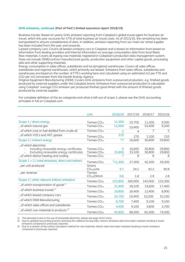#### **GHG emissions, continued (Part of PwC's limited assurance report 2018/19)**

Business travels: Based on yearly GHG emission reporting from Coloplast's global travel agent for business air travel, which this year accounts for 57% of total business air travel costs. As of 2015/16, the remaining has been extrapolated to ensure completeness of data. In addition, emission reporting from our main car rental supplier has been included from this year and onwards.

Leased company cars: Covers all leased company cars in Coloplast and is based on information from based on information from leasing providers and internal information on average consumption data from local fleets. Raw materials: Covers all ingoing raw materials registered in Coloplast's production data management system. Does not include OEM/contract manufactured goods, production equipment and other capital goods, processing aids and other supporting materials.

Energy consumption in sales offices, subsidiaries and local/regional warehouses: Covers all sales offices, subsidiaries and regional warehouses, which primarily are leased. Emissions from sales offices, subsidiaries and warehouses are based on the number of FTE's working here and calculated using an estimated m2 per FTE and CO2 per m2 conversion from the Danish Energy Agency.

Original Equipment Manufacturing (OEM): Covers GHG emissions from outsourced production, e.g. finished goods produced by external suppliers under the Coloplast brand. Emissions from outsourced production is calculated using Coloplast' average CO2 emission per produced finished good timed with the amount of finished goods produced by external supplier.

For complete definition of the six categories and what is left out of scope 3, please see the [GHG accounting](http://www.coloplast.com/about-coloplast/responsibility/policies/policies2/)  [principles in full on Coloplast.com.](http://www.coloplast.com/about-coloplast/responsibility/policies/policies2/)

|                                                                  | Unit                             | 2018/19        | 2017/18 | 2016/17 | 2015/16 |
|------------------------------------------------------------------|----------------------------------|----------------|---------|---------|---------|
|                                                                  |                                  |                |         |         |         |
| Scope 1 / direct energy                                          | Tonnes CO <sub>2e</sub>          | 11,300         | 10,700  | 11,500  | 9,500   |
| of which natural gas                                             | Tonnes CO <sub>2e</sub>          | 11,000         | 10,400  | 10,400  | 9,200   |
| of which coal or fuel distilled from crude oil                   | Tonnes CO <sub>2e</sub>          | 2              | 4       | 7       | 5       |
| of which VOCs and HFC gasses                                     | Tonnes CO <sub>2e</sub>          | 270            | 270     | 1,100   | 210     |
| Scope 2 / indirect energy                                        | Tonnes CO <sub>2e</sub>          | 1)7            | 16,600  | 30,800  | 29,800  |
| of which electricity:<br>Including renewable energy certificates | Tonnes CO <sub>2e</sub>          | 0              | 16,600  | 30.800  | 29,800  |
| Excluding renewable energy certificates                          | Tonnes CO <sub>2e</sub>          | 33,800         | 33,100  | 30,800  | 29,800  |
| of which district heating and cooling                            | Tonnes CO <sub>2e</sub>          | 7              | 9       | 6       | 8       |
| Scope $1 + 2$ / total emissions, direct and indirect             | Tonnes CO <sub>2e</sub>          | $^{1)}$ 11,300 | 27,300  | 42,300  | 39,300  |
| per unit produced                                                | Grams<br>CO <sub>2e</sub> /unit  | 9.7            | 24.1    | 42.2    | 40.9    |
| per revenue                                                      | Tonnes<br>CO <sub>2e</sub> /DKKm | 0.6            | 1.8     | 2.9     | 2.8     |
| Scope 3 / other relevant indirect emissions                      | Tonnes CO <sub>2e</sub>          | 155,800        | 160,900 | 142,000 | 133,300 |
| of which transportation of goods <sup>2)</sup>                   | Tonnes CO <sub>2e</sub>          | 21,400         | 28,100  | 19,600  | 17,400  |
| of which business travels <sup>2)</sup>                          | Tonnes CO <sub>2e</sub>          | 18,800         | 16,400  | 12,400  | 8,900   |
| of which leased company cars                                     | Tonnes CO <sub>2e</sub>          | 10,700         | 10,400  | 10,200  | 10,100  |
| of which OEM Manufacturing                                       | Tonnes CO <sub>2e</sub>          | 6,700          | 7,400   | 9,100   | 9,100   |
| of which sales offices and subsidiaries                          | Tonnes CO <sub>2e</sub>          | 4,400          | 4,100   | 3,800   | 3,700   |
| of which raw materials in products <sup>3)</sup>                 | Tonnes CO <sub>2e</sub>          | 93,800         | 88,500  | 81,000  | 74,500  |

1) The decrease is due to the use of renewable electricity, please see page 18 for more.<br>2) Due to updated accounting practice removing the radiative forcing index, historic emi

2) Due to updated accounting practice removing the radiative forcing index, historic emissions data have been restated resulting in lower emissions compared to previously reported.

3) Due to a revision of the carbon calculation method for raw materials, historic data have been restated resulting in lower emissions compared to previously reported.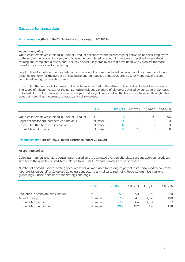## **Social performance data**

#### **Anti-corruption (Part of PwC's limited assurance report 2018/19)**

#### *Accounting policy*

White-collar employees trained in Code of Conduct accounts for the percentage of active white-collar employees at the end of the accounting year, who have either completed an e-learning module or received face-to-face training and completed a test in our Code of Conduct. Only employees that have been with Coloplast for more than 45 days is in scope for reporting

Legal actions for anti-competitive behaviour covers legal actions concluded under national or international laws designed primarily for the purpose of regulating anti-competitive behaviour, anti-trust, or monopoly practices completed during the reporting period.

Cases submitted accounts for cases that have been submitted to the ethics hotline and evaluated if within scope. The scope of relevant cases for the ethics hotline includes violations of all topics covered by our Code of Conduct, Coloplast BEST. Only cases within scope of topics and subjects reported via the hotline are followed through. This does not mean that the cases are necessarily substantiated.

|                                                   | Unit          | 2018/19 | 2017/18 2016/17 |    | 2015/16 |
|---------------------------------------------------|---------------|---------|-----------------|----|---------|
| White-collar employees trained in Code of Conduct | %             | 99      | 99              | 95 | 96      |
| Legal actions for anti-competitive behaviour      | <b>Number</b> |         |                 |    |         |
| Cases submitted to the ethics hotline             | Number        |         | 18              |    |         |
| of which within scope                             | Number        | 46      |                 |    |         |
|                                                   |               |         |                 |    |         |

#### **Product safety (Part of PwC's limited assurance report 2018/19)**

#### *Accounting policy*

Coloplast monitors phthalate consumption based on the estimated average phthalate concentration per produced item times the quantity of sold items relative to 2013/14. Product samples are not included.

Number of animals used for testing accounts for all animals used for testing as part of tests performed by contract laboratories on behalf of Coloplast. Coloplast conducts no animal tests internally. 'Rodents' are mice, rats and guinea pigs. 'Other' animals are rabbits, pigs and dogs.

|                                    | Unit   | 2018/19 | 2017/18 | 2016/17 | 2015/16 |
|------------------------------------|--------|---------|---------|---------|---------|
|                                    | $\%$   |         |         | 46      | 20      |
| Reduction in phthalate consumption |        |         | 50      |         |         |
| Animal testing                     | Number | 1.978   | 1.541   | 1.576   | 1,490   |
| of which rodents                   | Number | 1.678   | 1.364   | 1.380   | 1,332   |
| of which other animals             | Number | 300     | 177     | 196     | 158     |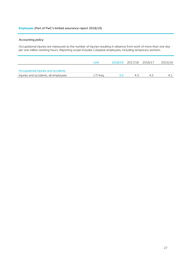#### **Employees (Part of PwC's limited assurance report 2018/19)**

## *Accounting policy*

Occupational injuries are measured as the number of injuries resulting in absence from work of more than one day per one million working hours. Reporting scope includes Coloplast employees, including temporary workers.

|                                       | Unit      | 2018/19 2017/18 2016/17 |    | 2015/16 |
|---------------------------------------|-----------|-------------------------|----|---------|
| Occupational injuries and accidents   |           |                         |    |         |
| Injuries and accidents, all employees | LTI trea. | ⊿ ⊰                     | 45 |         |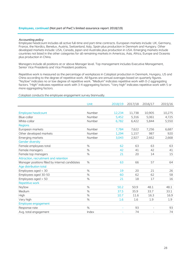#### *Accounting policy*

Employee headcount includes all active full-time and part-time contracts. European markets include: UK, Germany, France, the Nordics, Benelux, Austria, Switzerland, Italy, Spain plus production in Denmark and Hungary. Other developed markets include: USA, Canada, Japan and Australia plus production in USA. Emerging markets include countries not listed in the other categories for all remaining markets in Americas, Asia, Africa, Europe and Oceania plus production in China.

Managers include all positions at or above Manager level. Top management includes Executive Management, Senior Vice Presidents and Vice President positions.

Repetitive work is measured as the percentage of workplaces in Coloplast production in Denmark, Hungary, US and China according to the degree of repetitive work. All figures are annual averages based on quarterly figures. "No/low" indicates no or low degree of repetitive work. "Medium" indicates repetitive work with 0-2 aggregating factors. "High" indicates repetitive work with 3-4 aggregating factors. "Very high" indicates repetitive work with 5 or more aggregating factors.

Unit 2018/19 2017/18 2016/17 2015/16 Employee headcount Number 12,234 11,738 10,905 10,275 Blue-collar Number 5,452 5,316 5,061 4,725 White-collar Number 6,782 6,422 5,844 5,550 **Regions** European markets Number 7,784 7,622 7,256 6,687 Other developed markets **Number** 1,294 1,157 987 920 Emerging markets Number 3,043 2,927 2,662 2,668 Gender diversity Female employees total  $\begin{array}{ccc} 62 & 63 & 63 \end{array}$  63 Female managers % 42 41 42 41 Female top managers  $\frac{15}{21}$   $\frac{20}{14}$   $\frac{15}{15}$ Attraction, recruitment and retention Manager positions filled by internal candidates  $\frac{1}{2}$  % 63 66 57 64 Age distribution total Employees aged < 30  $\frac{19}{26}$  20  $\frac{21}{26}$  26 Employees aged 30-50 60 62 62 62 58 Employees aged > 50  $\frac{1}{21}$  18  $\frac{17}{16}$  16 Repetitive work No/low % 50.2 50.9 48.1 48.1 Medium % 37.5 35.9 33.7 33.1 High % 10.7 11.6 16.3 16.9 Very high % 1.6 1.6 1.9 1.9 Employee engagement Response rate 1938 - 1942 September 2020 - 1942 September 2020 - 1942 September 2030 - 1942 September 2030 - 1 Avg. total engagement and the state of the lindex and the state of the state of the state of the state of the state of the state of the state of the state of the state of the state of the state of the state of the state of

Coloplast conducts the employee engagement survey biannually.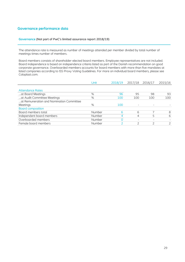## **Governance performance data**

#### **Governance (Not part of PwC's limited assurance report 2018/19)**

The attendance rate is measured as number of meetings attended per member divided by total number of meetings times number of members.

Board members consists of shareholder-elected board members. Employee representatives are not included. Board independence is based on independence criteria listed as part of the Danish recommendation on good corporate governance. Overboarded members accounts for board members with more than five mandates at listed companies according to ISS Proxy Voting Guidelines. For more on individual board members, please see Coloplast.com.

|                                          | Unit          | 2018/19 | 2017/18                  | 2016/17 | 2015/16 |
|------------------------------------------|---------------|---------|--------------------------|---------|---------|
|                                          |               |         |                          |         |         |
| <b>Attendance Rates</b>                  |               |         |                          |         |         |
| at Board Meetings                        | %             | 96      | 95                       | 98      | 93      |
| at Audit Committee Meetings              | %             | 100     | 100                      | 100     | 100     |
| at Remuneration and Nomination Committee |               |         |                          |         |         |
| <b>Meetings</b>                          | %             | 100     |                          |         |         |
| <b>Board composition</b>                 |               |         |                          |         |         |
| Board members total                      | Number        | 6       | 6                        |         | 8       |
| Independent board members                | <b>Number</b> | 4       | 4                        | 5       | 6       |
| Overboarded members                      | <b>Number</b> | 0       | $\overline{\phantom{a}}$ |         |         |
| Female board members                     | Number        |         | っ                        |         | 2       |
|                                          |               |         |                          |         |         |